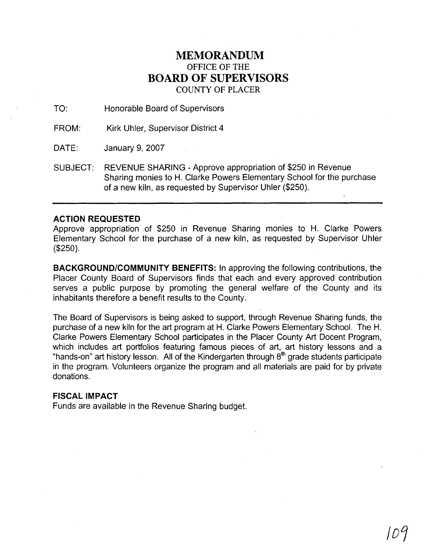## **MEMORANDUM**  OFFICE OF THE **BOARD OF SUPERVISORS**  COUNTY OF PLACER

TO: Honorable Board of Supervisors

FROM: Kirk Uhler, Supervisor District **4** 

DATE: January 9, 2007

SUBJECT: REVENUE SHARING - Approve appropriation of \$250 in Revenue Sharing monies to H. Clarke Powers Elementary School for the purchase of a new kiln, as requested by Supervisor Uhler (\$250).

## **ACTION REQUESTED**

Approve appropriation .of \$250 in Revenue Sharing monies to H. Clarke Powers Elementary School for the purchase of a new kiln, as requested by Supervisor Uhler (\$250).

**BACKGROUNDICOMMUNITY BENEFITS:** In approving the following contributions, the Placer County Board of Supervisors finds that each and every approved contribution serves a public purpose by promoting the general welfare of the County and its inhabitants therefore a benefit results to the County.

The Board of Supervisors is being asked to support, through Revenue Sharing funds, the purchase of a new kiln for the art program at H. Clarke Powers Elementary School. The H. Clarke Powers Elementary School participates in the Placer County Art Docent Program, which includes art portfolios featuring famous pieces of art, art history lessons and a "hands-on" art history lesson. All of the Kindergarten through  $8<sup>th</sup>$  grade students participate in the program. Volunteers organize the program and all materials are paid for by private donations.

## **FISCAL IMPACT**

Funds are available in the Revenue Sharing budget.